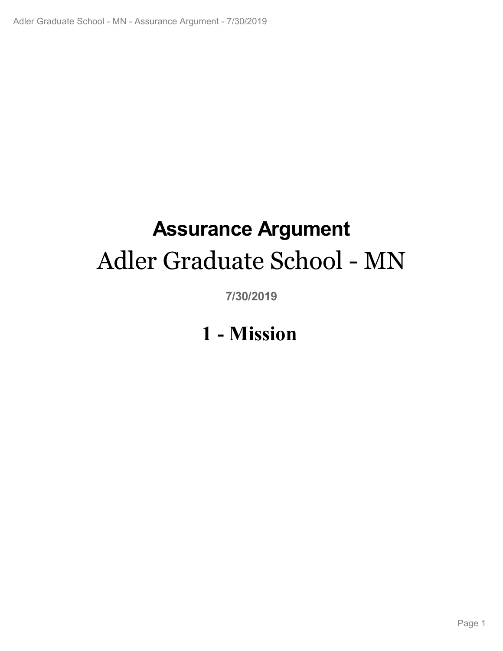# **Assurance Argument** Adler Graduate School - MN

**7/30/2019**

# **1 - Mission**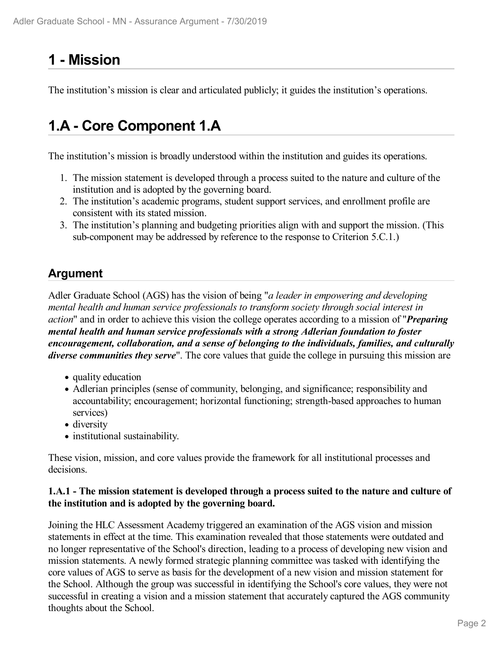# **1 - Mission**

The institution's mission is clear and articulated publicly; it guides the institution's operations.

# **1.A - Core Component 1.A**

The institution's mission is broadly understood within the institution and guides its operations.

- 1. The mission statement is developed through a process suited to the nature and culture of the institution and is adopted by the governing board.
- 2. The institution's academic programs, student support services, and enrollment profile are consistent with its stated mission.
- 3. The institution's planning and budgeting priorities align with and support the mission. (This sub-component may be addressed by reference to the response to Criterion 5.C.1.)

## **Argument**

Adler Graduate School (AGS) has the vision of being "*a leader in empowering and developing mental health and human service professionals to transform society through social interest in action*" and in order to achieve this vision the college operates according to a mission of "*Preparing mental health and human service professionals with a strong Adlerian foundation to foster encouragement, collaboration, and a sense of belonging to the individuals, families, and culturally diverse communities they serve*". The core values that guide the college in pursuing this mission are

- quality education
- Adlerian principles (sense of community, belonging, and significance; responsibility and accountability; encouragement; horizontal functioning; strength-based approaches to human services)
- diversity
- institutional sustainability.

These vision, mission, and core values provide the framework for all institutional processes and decisions.

#### **1.A.1 - The mission statement is developed through a process suited to the nature and culture of the institution and is adopted by the governing board.**

Joining the HLC Assessment Academy triggered an examination of the AGS vision and mission statements in effect at the time. This examination revealed that those statements were outdated and no longer representative of the School's direction, leading to a process of developing new vision and mission statements. A newly formed strategic planning committee was tasked with identifying the core values of AGS to serve as basis for the development of a new vision and mission statement for the School. Although the group was successful in identifying the School's core values, they were not successful in creating a vision and a mission statement that accurately captured the AGS community thoughts about the School.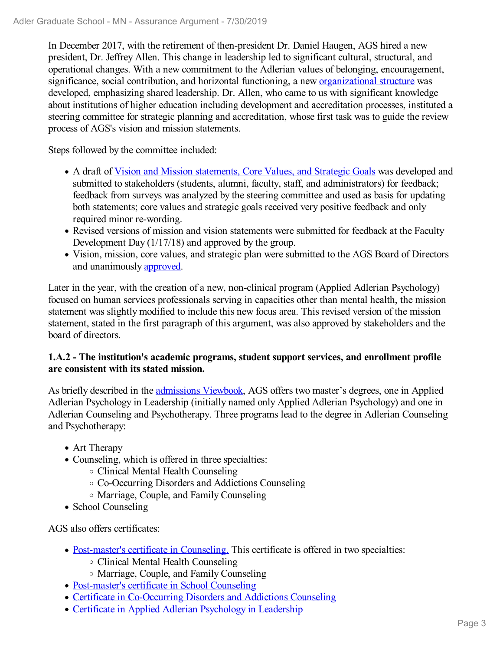In December 2017, with the retirement of then-president Dr. Daniel Haugen, AGS hired a new president, Dr. Jeffrey Allen. This change in leadership led to significant cultural, structural, and operational changes. With a new commitment to the Adlerian values of belonging, encouragement, significance, social contribution, and horizontal functioning, a new organizational structure was developed, emphasizing shared leadership. Dr. Allen, who came to us with significant knowledge about institutions of higher education including development and accreditation processes, instituted a steering committee for strategic planning and accreditation, whose first task was to guide the review process of AGS's vision and mission statements.

Steps followed by the committee included:

- A draft of Vision and Mission statements, Core Values, and Strategic Goals was developed and submitted to stakeholders (students, alumni, faculty, staff, and administrators) for feedback; feedback from surveys was analyzed by the steering committee and used as basis for updating both statements; core values and strategic goals received very positive feedback and only required minor re-wording.
- Revised versions of mission and vision statements were submitted for feedback at the Faculty Development Day (1/17/18) and approved by the group.
- Vision, mission, core values, and strategic plan were submitted to the AGS Board of Directors and unanimously approved.

Later in the year, with the creation of a new, non-clinical program (Applied Adlerian Psychology) focused on human services professionals serving in capacities other than mental health, the mission statement was slightly modified to include this new focus area. This revised version of the mission statement, stated in the first paragraph of this argument, was also approved by stakeholders and the board of directors.

### **1.A.2 - The institution's academic programs, student support services, and enrollment profile are consistent with its stated mission.**

As briefly described in the admissions Viewbook, AGS offers two master's degrees, one in Applied Adlerian Psychology in Leadership (initially named only Applied Adlerian Psychology) and one in Adlerian Counseling and Psychotherapy. Three programs lead to the degree in Adlerian Counseling and Psychotherapy:

- Art Therapy
- Counseling, which is offered in three specialties:
	- Clinical Mental Health Counseling
	- Co-Occurring Disorders and Addictions Counseling
	- Marriage, Couple, and Family Counseling
- School Counseling

AGS also offers certificates:

- Post-master's certificate in Counseling. This certificate is offered in two specialties:
	- Clinical Mental Health Counseling
	- Marriage, Couple, and Family Counseling
- Post-master's certificate in School Counseling
- Certificate in Co-Occurring Disorders and Addictions Counseling
- Certificate in Applied Adlerian Psychology in Leadership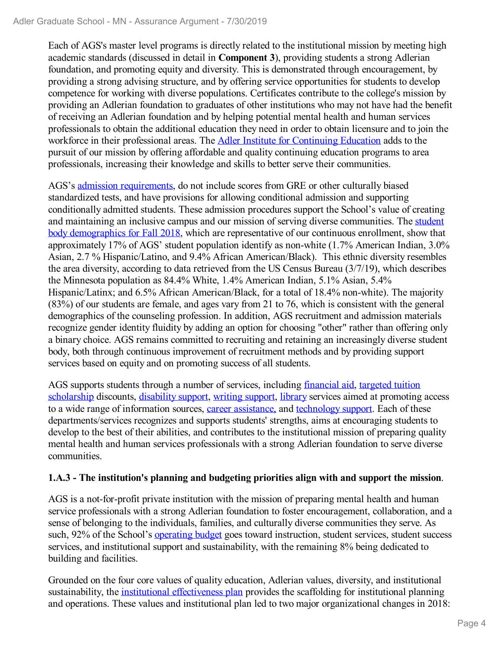Each of AGS's master level programs is directly related to the institutional mission by meeting high academic standards (discussed in detail in **Component 3**), providing students a strong Adlerian foundation, and promoting equity and diversity. This is demonstrated through encouragement, by providing a strong advising structure, and by offering service opportunities for students to develop competence for working with diverse populations. Certificates contribute to the college's mission by providing an Adlerian foundation to graduates of other institutions who may not have had the benefit of receiving an Adlerian foundation and by helping potential mental health and human services professionals to obtain the additional education they need in order to obtain licensure and to join the workforce in their professional areas. The Adler Institute for Continuing Education adds to the pursuit of our mission by offering affordable and quality continuing education programs to area professionals, increasing their knowledge and skills to better serve their communities.

AGS's admission requirements, do not include scores from GRE or other culturally biased standardized tests, and have provisions for allowing conditional admission and supporting conditionally admitted students. These admission procedures support the School's value of creating and maintaining an inclusive campus and our mission of serving diverse communities. The student body demographics for Fall 2018, which are representative of our continuous enrollment, show that approximately 17% of AGS' student population identify as non-white (1.7% American Indian, 3.0% Asian, 2.7 % Hispanic/Latino, and 9.4% African American/Black). This ethnic diversity resembles the area diversity, according to data retrieved from the US Census Bureau (3/7/19), which describes the Minnesota population as 84.4% White, 1.4% American Indian, 5.1% Asian, 5.4% Hispanic/Latinx; and 6.5% African American/Black, for a total of 18.4% non-white). The majority (83%) of our students are female, and ages vary from 21 to 76, which is consistent with the general demographics of the counseling profession. In addition, AGS recruitment and admission materials recognize gender identity fluidity by adding an option for choosing "other" rather than offering only a binary choice. AGS remains committed to recruiting and retaining an increasingly diverse student body, both through continuous improvement of recruitment methods and by providing support services based on equity and on promoting success of all students.

AGS supports students through a number of services, including financial aid, targeted tuition scholarship discounts, disability support, writing support, library services aimed at promoting access to a wide range of information sources, career assistance, and technology support. Each of these departments/services recognizes and supports students' strengths, aims at encouraging students to develop to the best of their abilities, and contributes to the institutional mission of preparing quality mental health and human services professionals with a strong Adlerian foundation to serve diverse communities.

### **1.A.3 - The institution's planning and budgeting priorities align with and support the mission**.

AGS is a not-for-profit private institution with the mission of preparing mental health and human service professionals with a strong Adlerian foundation to foster encouragement, collaboration, and a sense of belonging to the individuals, families, and culturally diverse communities they serve. As such, 92% of the School's operating budget goes toward instruction, student services, student success services, and institutional support and sustainability, with the remaining 8% being dedicated to building and facilities.

Grounded on the four core values of quality education, Adlerian values, diversity, and institutional sustainability, the institutional effectiveness plan provides the scaffolding for institutional planning and operations. These values and institutional plan led to two major organizational changes in 2018: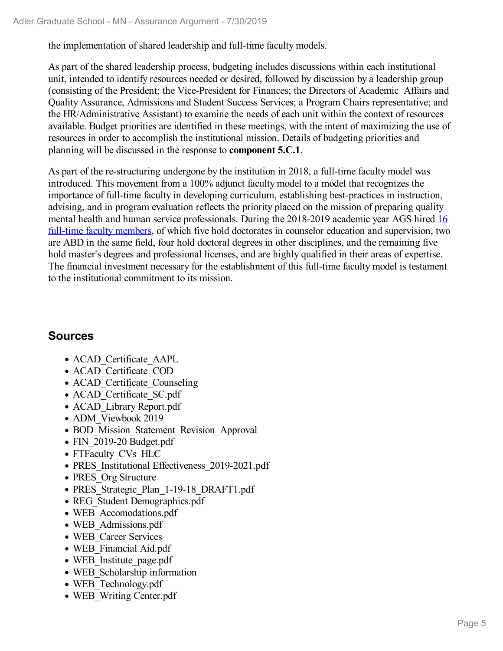the implementation of shared leadership and full-time faculty models.

As part of the shared leadership process, budgeting includes discussions within each institutional unit, intended to identify resources needed or desired, followed by discussion by a leadership group (consisting of the President; the Vice-President for Finances; the Directors of Academic Affairs and Quality Assurance, Admissions and Student Success Services; a Program Chairs representative; and the HR/Administrative Assistant) to examine the needs of each unit within the context of resources available. Budget priorities are identified in these meetings, with the intent of maximizing the use of resources in order to accomplish the institutional mission. Details of budgeting priorities and planning will be discussed in the response to **component 5.C.1**.

As part of the re-structuring undergone by the institution in 2018, a full-time faculty model was introduced. This movement from a 100% adjunct faculty model to a model that recognizes the importance of full-time faculty in developing curriculum, establishing best-practices in instruction, advising, and in program evaluation reflects the priority placed on the mission of preparing quality mental health and human service professionals. During the 2018-2019 academic year AGS hired 16 full-time faculty members, of which five hold doctorates in counselor education and supervision, two are ABD in the same field, four hold doctoral degrees in other disciplines, and the remaining five hold master's degrees and professional licenses, and are highly qualified in their areas of expertise. The financial investment necessary for the establishment of this full-time faculty model is testament to the institutional commitment to its mission.

### **Sources**

- ACAD Certificate AAPL
- ACAD Certificate COD
- ACAD Certificate Counseling
- ACAD Certificate SC.pdf
- ACAD Library Report.pdf
- ADM Viewbook 2019
- BOD Mission Statement Revision Approval
- FIN 2019-20 Budget.pdf
- FTFaculty CVs HLC
- PRES Institutional Effectiveness 2019-2021.pdf
- PRES Org Structure
- PRES Strategic Plan 1-19-18 DRAFT1.pdf
- REG Student Demographics.pdf
- WEB Accomodations.pdf
- WEB Admissions.pdf
- WEB Career Services
- WEB\_Financial Aid.pdf
- WEB Institute page.pdf
- WEB Scholarship information
- WEB Technology.pdf
- WEB Writing Center.pdf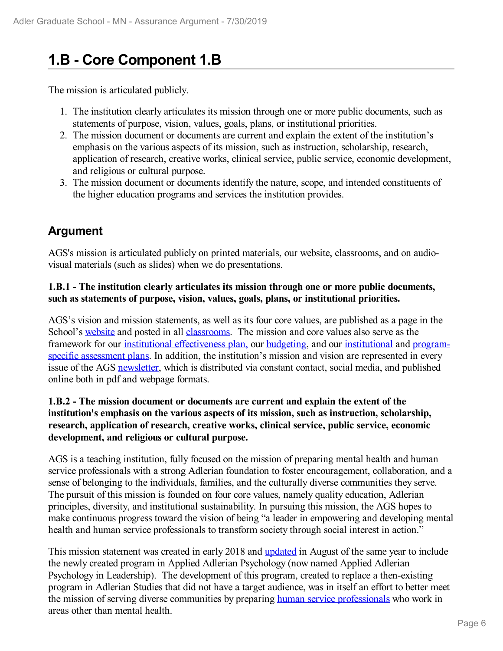# **1.B - Core Component 1.B**

The mission is articulated publicly.

- 1. The institution clearly articulates its mission through one or more public documents, such as statements of purpose, vision, values, goals, plans, or institutional priorities.
- 2. The mission document or documents are current and explain the extent of the institution's emphasis on the various aspects of its mission, such as instruction, scholarship, research, application of research, creative works, clinical service, public service, economic development, and religious or cultural purpose.
- 3. The mission document or documents identify the nature, scope, and intended constituents of the higher education programs and services the institution provides.

### **Argument**

AGS's mission is articulated publicly on printed materials, our website, classrooms, and on audiovisual materials (such as slides) when we do presentations.

### **1.B.1 - The institution clearly articulates its mission through one or more public documents, such as statements of purpose, vision, values, goals, plans, or institutional priorities.**

AGS's vision and mission statements, as well as its four core values, are published as a page in the School's website and posted in all classrooms. The mission and core values also serve as the framework for our institutional effectiveness plan, our budgeting, and our institutional and programspecific assessment plans. In addition, the institution's mission and vision are represented in every issue of the AGS newsletter, which is distributed via constant contact, social media, and published online both in pdf and webpage formats.

### **1.B.2 - The mission document or documents are current and explain the extent of the institution's emphasis on the various aspects of its mission, such as instruction, scholarship, research, application of research, creative works, clinical service, public service, economic development, and religious or cultural purpose.**

AGS is a teaching institution, fully focused on the mission of preparing mental health and human service professionals with a strong Adlerian foundation to foster encouragement, collaboration, and a sense of belonging to the individuals, families, and the culturally diverse communities they serve. The pursuit of this mission is founded on four core values, namely quality education, Adlerian principles, diversity, and institutional sustainability. In pursuing this mission, the AGS hopes to make continuous progress toward the vision of being "a leader in empowering and developing mental health and human service professionals to transform society through social interest in action."

This mission statement was created in early 2018 and updated in August of the same year to include the newly created program in Applied Adlerian Psychology (now named Applied Adlerian Psychology in Leadership). The development of this program, created to replace a then-existing program in Adlerian Studies that did not have a target audience, was in itself an effort to better meet the mission of serving diverse communities by preparing human service professionals who work in areas other than mental health.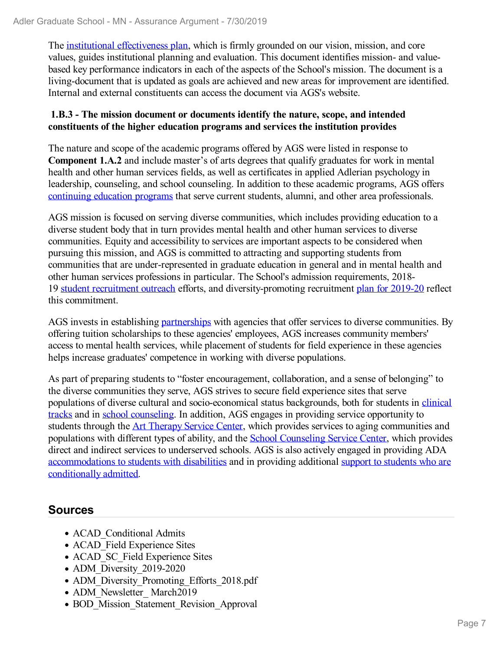The institutional effectiveness plan, which is firmly grounded on our vision, mission, and core values, guides institutional planning and evaluation. This document identifies mission- and valuebased key performance indicators in each of the aspects of the School's mission. The document is a living-document that is updated as goals are achieved and new areas for improvement are identified. Internal and external constituents can access the document via AGS's website.

### **1.B.3 - The mission document or documents identify the nature, scope, and intended constituents of the higher education programs and services the institution provides**

The nature and scope of the academic programs offered by AGS were listed in response to **Component 1.A.2** and include master's of arts degrees that qualify graduates for work in mental health and other human services fields, as well as certificates in applied Adlerian psychology in leadership, counseling, and school counseling. In addition to these academic programs, AGS offers continuing education programs that serve current students, alumni, and other area professionals.

AGS mission is focused on serving diverse communities, which includes providing education to a diverse student body that in turn provides mental health and other human services to diverse communities. Equity and accessibility to services are important aspects to be considered when pursuing this mission, and AGS is committed to attracting and supporting students from communities that are under-represented in graduate education in general and in mental health and other human services professions in particular. The School's admission requirements, 2018- 19 student recruitment outreach efforts, and diversity-promoting recruitment plan for 2019-20 reflect this commitment.

AGS invests in establishing partnerships with agencies that offer services to diverse communities. By offering tuition scholarships to these agencies' employees, AGS increases community members' access to mental health services, while placement of students for field experience in these agencies helps increase graduates' competence in working with diverse populations.

As part of preparing students to "foster encouragement, collaboration, and a sense of belonging" to the diverse communities they serve, AGS strives to secure field experience sites that serve populations of diverse cultural and socio-economical status backgrounds, both for students in clinical tracks and in school counseling. In addition, AGS engages in providing service opportunity to students through the Art Therapy Service Center, which provides services to aging communities and populations with different types of ability, and the School Counseling Service Center, which provides direct and indirect services to underserved schools. AGS is also actively engaged in providing ADA accommodations to students with disabilities and in providing additional support to students who are conditionally admitted.

### **Sources**

- ACAD Conditional Admits
- ACAD Field Experience Sites
- ACAD SC Field Experience Sites
- ADM Diversity 2019-2020
- ADM Diversity Promoting Efforts 2018.pdf
- ADM\_Newsletter\_March2019
- BOD Mission Statement Revision Approval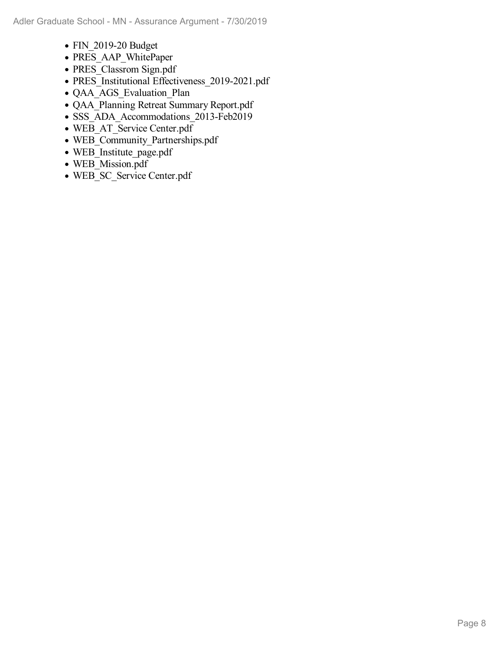- FIN 2019-20 Budget
- PRES\_AAP\_WhitePaper
- PRES\_Classrom Sign.pdf
- PRES<sup>I</sup>nstitutional Effectiveness 2019-2021.pdf
- QAA\_AGS\_Evaluation\_Plan
- QAA\_Planning Retreat Summary Report.pdf
- SSS\_ADA\_Accommodations\_2013-Feb2019
- WEB\_AT\_Service Center.pdf
- WEB\_Community\_Partnerships.pdf
- WEB Institute page.pdf
- WEB\_Mission.pdf
- WEB SC Service Center.pdf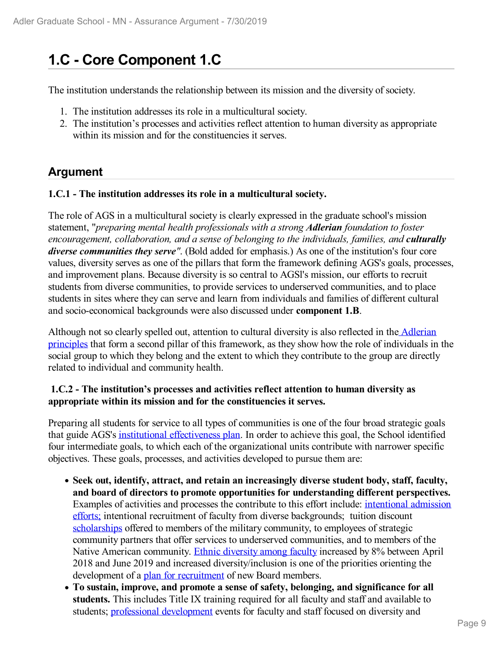# **1.C - Core Component 1.C**

The institution understands the relationship between its mission and the diversity of society.

- 1. The institution addresses its role in a multicultural society.
- 2. The institution's processes and activities reflect attention to human diversity as appropriate within its mission and for the constituencies it serves.

### **Argument**

#### **1.C.1 - The institution addresses its role in a multicultural society.**

The role of AGS in a multicultural society is clearly expressed in the graduate school's mission statement, "*preparing mental health professionals with a strong Adlerian foundation to foster encouragement, collaboration, and a sense of belonging to the individuals, families, and culturally diverse communities they serve"*. (Bold added for emphasis.) As one of the institution's four core values, diversity serves as one of the pillars that form the framework defining AGS's goals, processes, and improvement plans. Because diversity is so central to AGSl's mission, our efforts to recruit students from diverse communities, to provide services to underserved communities, and to place students in sites where they can serve and learn from individuals and families of different cultural and socio-economical backgrounds were also discussed under **component 1.B**.

Although not so clearly spelled out, attention to cultural diversity is also reflected in the Adlerian principles that form a second pillar of this framework, as they show how the role of individuals in the social group to which they belong and the extent to which they contribute to the group are directly related to individual and community health.

### **1.C.2 - The institution's processes and activities reflect attention to human diversity as appropriate within its mission and for the constituencies it serves.**

Preparing all students for service to all types of communities is one of the four broad strategic goals that guide AGS's institutional effectiveness plan. In order to achieve this goal, the School identified four intermediate goals, to which each of the organizational units contribute with narrower specific objectives. These goals, processes, and activities developed to pursue them are:

- **Seek out, identify, attract, and retain an increasingly diverse student body, staff, faculty, and board of directors to promote opportunities for understanding different perspectives.** Examples of activities and processes the contribute to this effort include: intentional admission efforts; intentional recruitment of faculty from diverse backgrounds; tuition discount scholarships offered to members of the military community, to employees of strategic community partners that offer services to underserved communities, and to members of the Native American community. Ethnic diversity among faculty increased by 8% between April 2018 and June 2019 and increased diversity/inclusion is one of the priorities orienting the development of a plan for recruitment of new Board members.
- **To sustain, improve, and promote a sense of safety, belonging, and significance for all students.** This includes Title IX training required for all faculty and staff and available to students; professional development events for faculty and staff focused on diversity and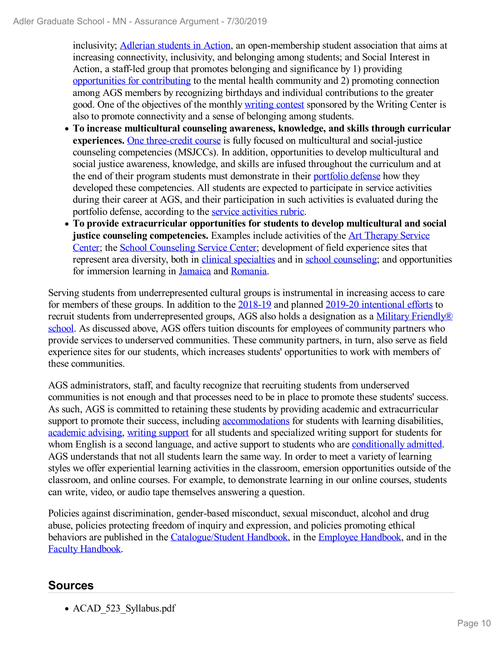inclusivity; Adlerian students in Action, an open-membership student association that aims at increasing connectivity, inclusivity, and belonging among students; and Social Interest in Action, a staff-led group that promotes belonging and significance by 1) providing opportunities for contributing to the mental health community and 2) promoting connection among AGS members by recognizing birthdays and individual contributions to the greater good. One of the objectives of the monthly writing contest sponsored by the Writing Center is also to promote connectivity and a sense of belonging among students.

- **To increase multicultural counseling awareness, knowledge, and skills through curricular experiences.** One three-credit course is fully focused on multicultural and social-justice counseling competencies (MSJCCs). In addition, opportunities to develop multicultural and social justice awareness, knowledge, and skills are infused throughout the curriculum and at the end of their program students must demonstrate in their portfolio defense how they developed these competencies. All students are expected to participate in service activities during their career at AGS, and their participation in such activities is evaluated during the portfolio defense, according to the service activities rubric.
- **To provide extracurricular opportunities for students to develop multicultural and social justice counseling competencies.** Examples include activities of the Art Therapy Service Center; the School Counseling Service Center; development of field experience sites that represent area diversity, both in clinical specialties and in school counseling; and opportunities for immersion learning in Jamaica and Romania.

Serving students from underrepresented cultural groups is instrumental in increasing access to care for members of these groups. In addition to the 2018-19 and planned 2019-20 intentional efforts to recruit students from underrepresented groups, AGS also holds a designation as a Military Friendly® school. As discussed above, AGS offers tuition discounts for employees of community partners who provide services to underserved communities. These community partners, in turn, also serve as field experience sites for our students, which increases students' opportunities to work with members of these communities.

AGS administrators, staff, and faculty recognize that recruiting students from underserved communities is not enough and that processes need to be in place to promote these students' success. As such, AGS is committed to retaining these students by providing academic and extracurricular support to promote their success, including accommodations for students with learning disabilities, academic advising, writing support for all students and specialized writing support for students for whom English is a second language, and active support to students who are conditionally admitted. AGS understands that not all students learn the same way. In order to meet a variety of learning styles we offer experiential learning activities in the classroom, emersion opportunities outside of the classroom, and online courses. For example, to demonstrate learning in our online courses, students can write, video, or audio tape themselves answering a question.

Policies against discrimination, gender-based misconduct, sexual misconduct, alcohol and drug abuse, policies protecting freedom of inquiry and expression, and policies promoting ethical behaviors are published in the Catalogue/Student Handbook, in the Employee Handbook, and in the Faculty Handbook.

## **Sources**

• ACAD 523 Syllabus.pdf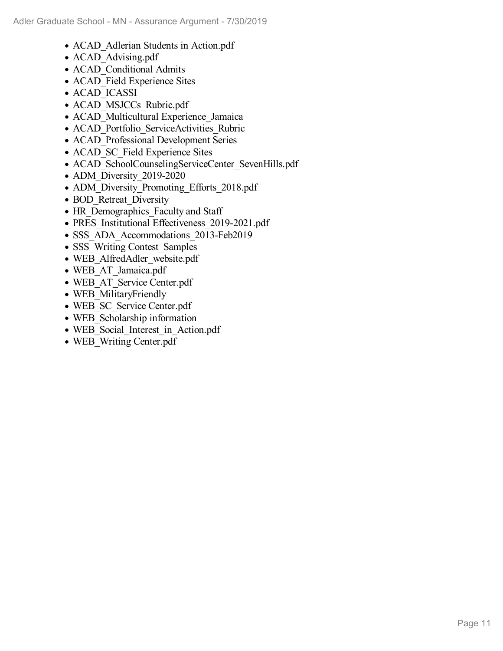- ACAD Adlerian Students in Action.pdf
- ACAD Advising.pdf
- ACAD Conditional Admits
- ACAD Field Experience Sites
- ACAD ICASSI
- ACAD MSJCCs Rubric.pdf
- ACAD Multicultural Experience Jamaica
- ACAD Portfolio ServiceActivities Rubric
- ACAD Professional Development Series
- ACAD SC Field Experience Sites
- ACAD\_SchoolCounselingServiceCenter\_SevenHills.pdf
- ADM Diversity 2019-2020
- ADM\_Diversity\_Promoting\_Efforts\_2018.pdf
- BOD Retreat Diversity
- HR Demographics Faculty and Staff
- PRES\_Institutional Effectiveness\_2019-2021.pdf
- SSS ADA Accommodations 2013-Feb2019
- SSS Writing Contest Samples
- WEB AlfredAdler website.pdf
- WEB\_AT\_Jamaica.pdf
- WEB\_AT\_Service Center.pdf
- WEB MilitaryFriendly
- WEB SC Service Center.pdf
- WEB Scholarship information
- WEB\_Social\_Interest\_in\_Action.pdf
- WEB Writing Center.pdf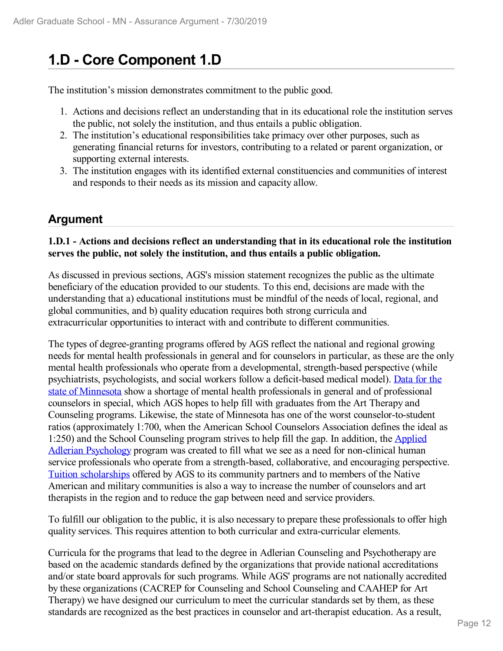# **1.D - Core Component 1.D**

The institution's mission demonstrates commitment to the public good.

- 1. Actions and decisions reflect an understanding that in its educational role the institution serves the public, not solely the institution, and thus entails a public obligation.
- 2. The institution's educational responsibilities take primacy over other purposes, such as generating financial returns for investors, contributing to a related or parent organization, or supporting external interests.
- 3. The institution engages with its identified external constituencies and communities of interest and responds to their needs as its mission and capacity allow.

### **Argument**

#### **1.D.1 - Actions and decisions reflect an understanding that in its educational role the institution serves the public, not solely the institution, and thus entails a public obligation.**

As discussed in previous sections, AGS's mission statement recognizes the public as the ultimate beneficiary of the education provided to our students. To this end, decisions are made with the understanding that a) educational institutions must be mindful of the needs of local, regional, and global communities, and b) quality education requires both strong curricula and extracurricular opportunities to interact with and contribute to different communities.

The types of degree-granting programs offered by AGS reflect the national and regional growing needs for mental health professionals in general and for counselors in particular, as these are the only mental health professionals who operate from a developmental, strength-based perspective (while psychiatrists, psychologists, and social workers follow a deficit-based medical model). Data for the state of Minnesota show a shortage of mental health professionals in general and of professional counselors in special, which AGS hopes to help fill with graduates from the Art Therapy and Counseling programs. Likewise, the state of Minnesota has one of the worst counselor-to-student ratios (approximately 1:700, when the American School Counselors Association defines the ideal as 1:250) and the School Counseling program strives to help fill the gap. In addition, the Applied Adlerian Psychology program was created to fill what we see as a need for non-clinical human service professionals who operate from a strength-based, collaborative, and encouraging perspective. Tuition scholarships offered by AGS to its community partners and to members of the Native American and military communities is also a way to increase the number of counselors and art therapists in the region and to reduce the gap between need and service providers.

To fulfill our obligation to the public, it is also necessary to prepare these professionals to offer high quality services. This requires attention to both curricular and extra-curricular elements.

Curricula for the programs that lead to the degree in Adlerian Counseling and Psychotherapy are based on the academic standards defined by the organizations that provide national accreditations and/or state board approvals for such programs. While AGS' programs are not nationally accredited by these organizations (CACREP for Counseling and School Counseling and CAAHEP for Art Therapy) we have designed our curriculum to meet the curricular standards set by them, as these standards are recognized as the best practices in counselor and art-therapist education. As a result,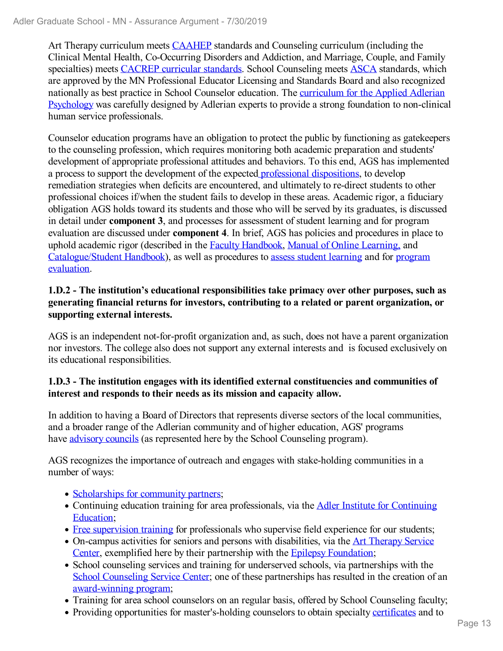Art Therapy curriculum meets CAAHEP standards and Counseling curriculum (including the Clinical Mental Health, Co-Occurring Disorders and Addiction, and Marriage, Couple, and Family specialties) meets CACREP curricular standards. School Counseling meets ASCA standards, which are approved by the MN Professional Educator Licensing and Standards Board and also recognized nationally as best practice in School Counselor education. The curriculum for the Applied Adlerian Psychology was carefully designed by Adlerian experts to provide a strong foundation to non-clinical human service professionals.

Counselor education programs have an obligation to protect the public by functioning as gatekeepers to the counseling profession, which requires monitoring both academic preparation and students' development of appropriate professional attitudes and behaviors. To this end, AGS has implemented a process to support the development of the expected professional dispositions, to develop remediation strategies when deficits are encountered, and ultimately to re-direct students to other professional choices if/when the student fails to develop in these areas. Academic rigor, a fiduciary obligation AGS holds toward its students and those who will be served by its graduates, is discussed in detail under **component 3**, and processes for assessment of student learning and for program evaluation are discussed under **component 4**. In brief, AGS has policies and procedures in place to uphold academic rigor (described in the Faculty Handbook, Manual of Online Learning, and Catalogue/Student Handbook), as well as procedures to assess student learning and for program evaluation.

### **1.D.2 - The institution's educational responsibilities take primacy over other purposes, such as generating financial returns for investors, contributing to a related or parent organization, or supporting external interests.**

AGS is an independent not-for-profit organization and, as such, does not have a parent organization nor investors. The college also does not support any external interests and is focused exclusively on its educational responsibilities.

### **1.D.3 - The institution engages with its identified external constituencies and communities of interest and responds to their needs as its mission and capacity allow.**

In addition to having a Board of Directors that represents diverse sectors of the local communities, and a broader range of the Adlerian community and of higher education, AGS' programs have advisory councils (as represented here by the School Counseling program).

AGS recognizes the importance of outreach and engages with stake-holding communities in a number of ways:

- Scholarships for community partners;
- Continuing education training for area professionals, via the **Adler Institute for Continuing** Education;
- Free supervision training for professionals who supervise field experience for our students;
- On-campus activities for seniors and persons with disabilities, via the Art Therapy Service Center, exemplified here by their partnership with the Epilepsy Foundation;
- School counseling services and training for underserved schools, via partnerships with the School Counseling Service Center; one of these partnerships has resulted in the creation of an award-winning program;
- Training for area school counselors on an regular basis, offered by School Counseling faculty;
- Providing opportunities for master's-holding counselors to obtain specialty certificates and to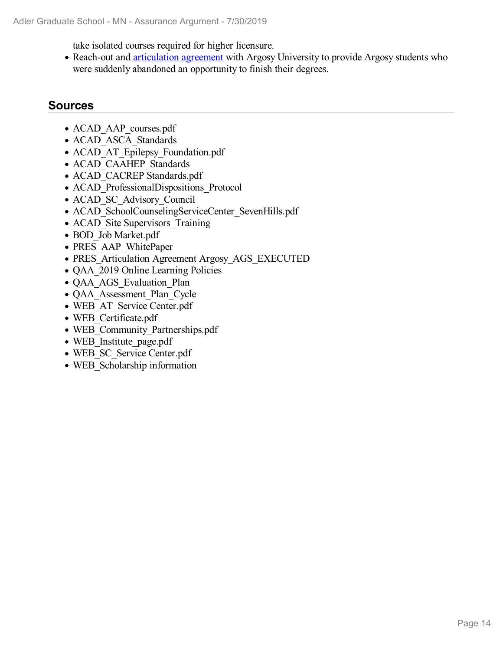take isolated courses required for higher licensure.

• Reach-out and articulation agreement with Argosy University to provide Argosy students who were suddenly abandoned an opportunity to finish their degrees.

### **Sources**

- ACAD AAP courses.pdf
- ACAD ASCA Standards
- ACAD AT Epilepsy Foundation.pdf
- ACAD\_CAAHEP\_Standards
- ACAD\_CACREP Standards.pdf
- ACAD ProfessionalDispositions Protocol
- ACAD SC Advisory Council
- ACAD SchoolCounselingServiceCenter SevenHills.pdf
- ACAD Site Supervisors Training
- BOD Job Market.pdf
- PRES\_AAP\_WhitePaper
- PRES Articulation Agreement Argosy AGS EXECUTED
- QAA 2019 Online Learning Policies
- QAA\_AGS\_Evaluation\_Plan
- QAA Assessment Plan Cycle
- WEB\_AT\_Service Center.pdf
- WEB Certificate.pdf
- WEB\_Community\_Partnerships.pdf
- WEB Institute page.pdf
- WEB SC Service Center.pdf
- WEB Scholarship information